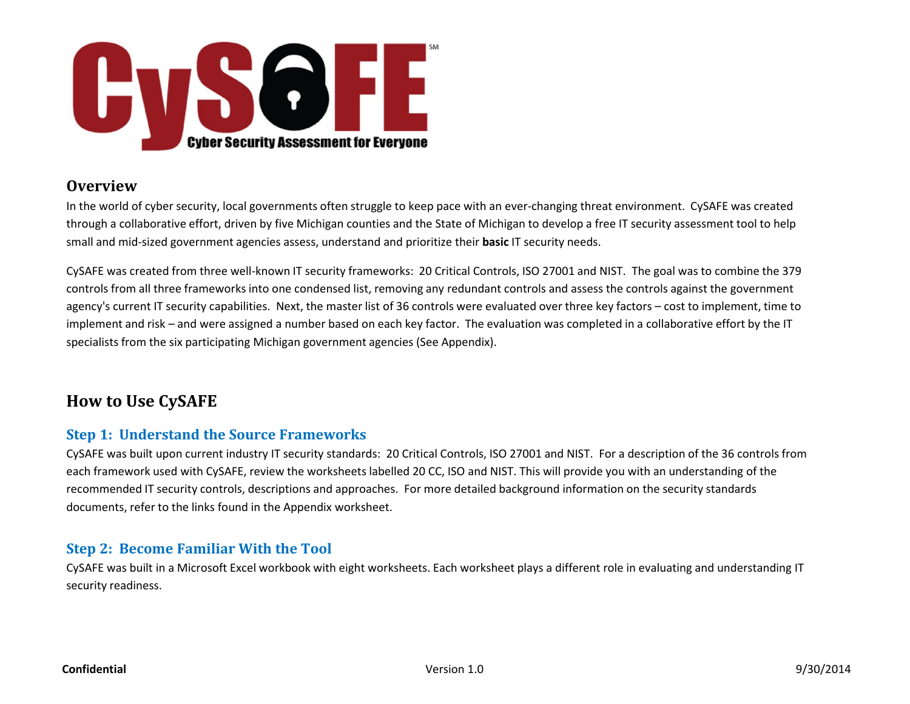

## **Overview**

In the world of cyber security, local governments often struggle to keep pace with an ever‐changing threat environment. CySAFE was created through <sup>a</sup> collaborative effort, driven by five Michigan counties and the State of Michigan to develop <sup>a</sup> free IT security assessment tool to help small and mid‐sized government agencies assess, understand and prioritize their **basic** IT security needs.

CySAFE was created from three well‐known IT security frameworks: 20 Critical Controls, ISO 27001 and NIST. The goal was to combine the 379 controls from all three frameworksinto one condensed list, removing any redundant controls and assess the controls against the government agency's current IT security capabilities. Next, the master list of 36 controls were evaluated over three key factors – cost to implement, time to implement and risk – and were assigned <sup>a</sup> number based on each key factor. The evaluation was completed in <sup>a</sup> collaborative effort by the IT specialists from the six participating Michigan government agencies (See Appendix).

# **How to Use CySAFE**

## **Step 1: Understand the Source Frameworks**

CySAFE was built upon current industry IT security standards: 20 Critical Controls, ISO 27001 and NIST. For <sup>a</sup> description of the 36 controls from each framework used with CySAFE, review the worksheets labelled 20 CC, ISO and NIST. This will provide you with an understanding of the recommended IT security controls, descriptions and approaches. For more detailed background information on the security standards documents, refer to the links found in the Appendix worksheet.

## **Step 2: Become Familiar With the Tool**

CySAFE was built in <sup>a</sup> Microsoft Excel workbook with eight worksheets. Each worksheet plays <sup>a</sup> different role in evaluating and understanding IT security readiness.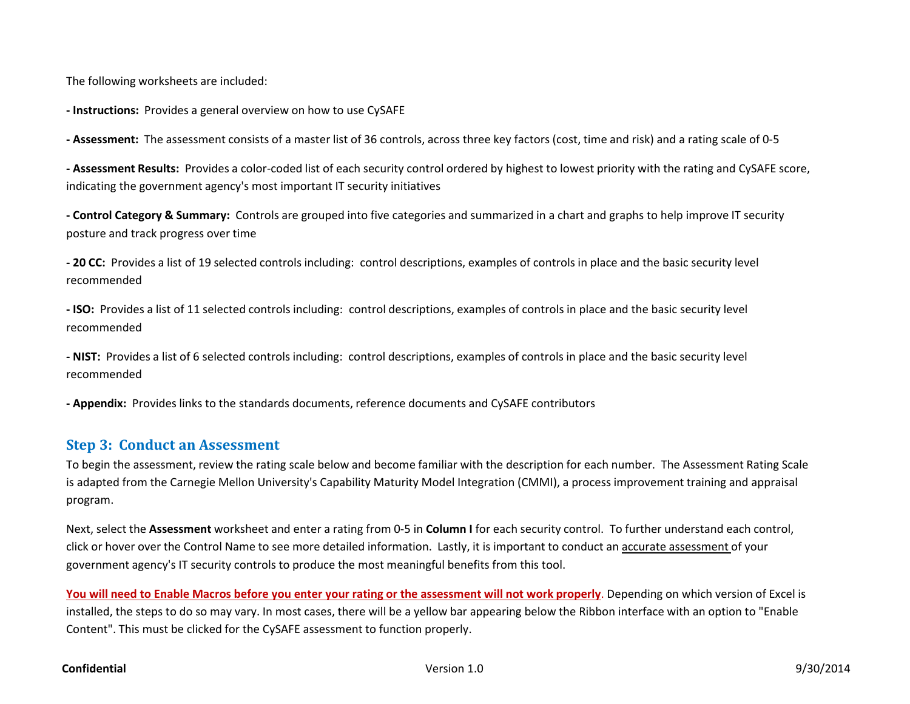The following worksheets are included:

**‐ Instructions:** Provides a general overview on how to use CySAFE

**‐ Assessment:** The assessment consists of <sup>a</sup> master list of 36 controls, across three key factors (cost, time and risk) and <sup>a</sup> rating scale of 0‐5

**‐ Assessment Results:** Provides a color‐coded list of each security control ordered by highest to lowest priority with the rating and CySAFE score, indicating the government agency's most important IT security initiatives

**‐ Control Category & Summary:** Controls are grouped into five categories and summarized in <sup>a</sup> chart and graphs to help improve IT security posture and track progress over time

**‐ 20 CC:** Provides a list of 19 selected controls including: control descriptions, examples of controls in place and the basic security level recommended

**‐ ISO:** Provides <sup>a</sup> list of 11 selected controls including: control descriptions, examples of controls in place and the basic security level recommended

**‐ NIST:** Provides <sup>a</sup> list of 6 selected controls including: control descriptions, examples of controls in place and the basic security level recommended

**‐ Appendix:** Provides links to the standards documents, reference documents and CySAFE contributors

### **Step 3: Conduct an Assessment**

To begin the assessment, review the rating scale below and become familiar with the description for each number. The Assessment Rating Scale is adapted from the Carnegie Mellon University's Capability Maturity Model Integration (CMMI), <sup>a</sup> process improvement training and appraisal program.

Next, select the **Assessment** worksheet and enter <sup>a</sup> rating from 0‐5 in **Column I** for each security control. To further understand each control, click or hover over the Control Name to see more detailed information. Lastly, it is important to conduct an <u>accurate assessment o</u>f your government agency's IT security controls to produce the most meaningful benefits from this tool.

You will need to Enable Macros before you enter your rating or the assessment will not work properly. Depending on which version of Excel is installed, the steps to do so may vary. In most cases, there will be <sup>a</sup> yellow bar appearing below the Ribbon interface with an option to "Enable Content". This must be clicked for the CySAFE assessment to function properly.

### **Confidential**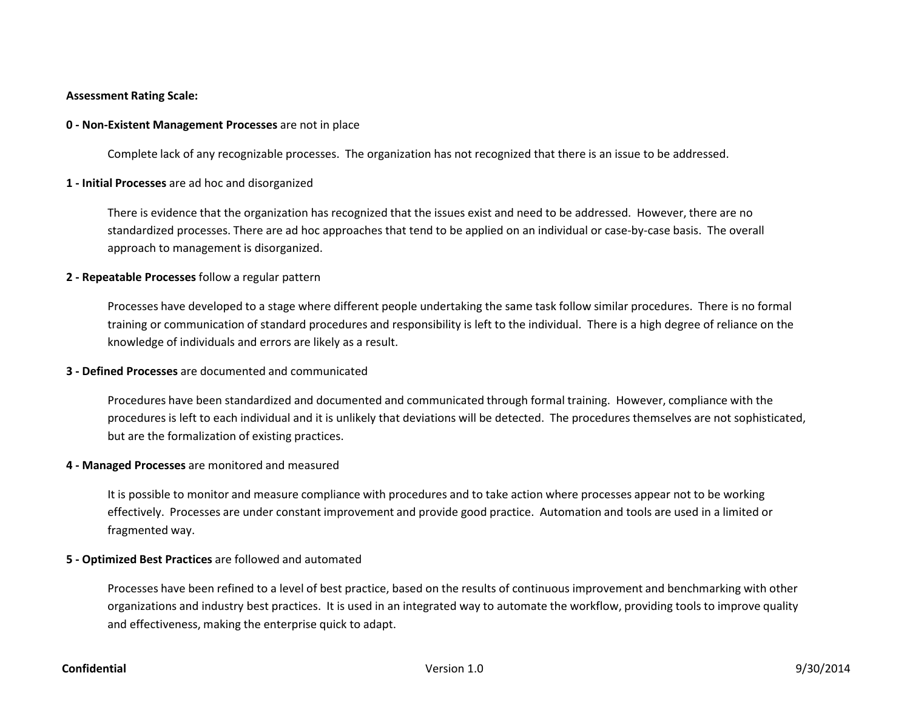### **Assessment Rating Scale:**

### **0 ‐ Non‐Existent Management Processes** are not in place

Complete lack of any recognizable processes. The organization has not recognized that there is an issue to be addressed.

### **1 ‐ Initial Processes** are ad hoc and disorganized

There is evidence that the organization has recognized that the issues exist and need to be addressed. However, there are no standardized processes. There are ad hoc approaches that tend to be applied on an individual or case‐by‐case basis. The overall approach to management is disorganized.

### **2 ‐ Repeatable Processes** follow <sup>a</sup> regular pattern

Processes have developed to <sup>a</sup> stage where different people undertaking the same task follow similar procedures. There is no formal training or communication of standard procedures and responsibility is left to the individual. There is <sup>a</sup> high degree of reliance on the knowledge of individuals and errors are likely as <sup>a</sup> result.

### **3 ‐ Defined Processes** are documented and communicated

Procedures have been standardized and documented and communicated through formal training. However, compliance with the procedures is left to each individual and it is unlikely that deviations will be detected. The procedures themselves are not sophisticated, but are the formalization of existing practices.

### **4 ‐ Managed Processes** are monitored and measured

It is possible to monitor and measure compliance with procedures and to take action where processes appear not to be working effectively. Processes are under constant improvement and provide good practice. Automation and tools are used in <sup>a</sup> limited or fragmented way.

### **5 ‐ Optimized Best Practices** are followed and automated

Processes have been refined to <sup>a</sup> level of best practice, based on the results of continuous improvement and benchmarking with other organizations and industry best practices. It is used in an integrated way to automate the workflow, providing tools to improve quality and effectiveness, making the enterprise quick to adapt.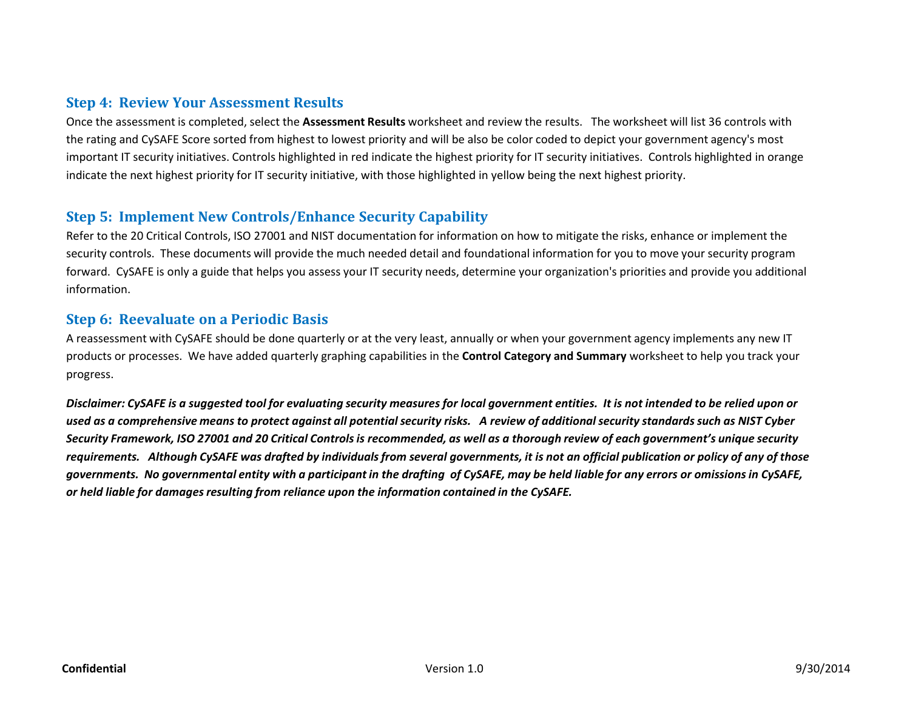## **Step 4: Review Your Assessment Results**

Once the assessment is completed, select the **Assessment Results** worksheet and review the results. The worksheet will list 36 controls with the rating and CySAFE Score sorted from highest to lowest priority and will be also be color coded to depict your government agency's most important IT security initiatives. Controls highlighted in red indicate the highest priority for IT security initiatives. Controls highlighted in orange indicate the next highest priority for IT security initiative, with those highlighted in yellow being the next highest priority.

## **Step 5: Implement New Controls/Enhance Security Capability**

Refer to the 20 Critical Controls, ISO 27001 and NIST documentation for information on how to mitigate the risks, enhance or implement the security controls. These documents will provide the much needed detail and foundational information for you to move your security program forward. CySAFE is only <sup>a</sup> guide that helps you assess your IT security needs, determine your organization's priorities and provide you additional information.

### **Step 6: Reevaluate on <sup>a</sup> Periodic Basis**

A reassessment with CySAFE should be done quarterly or at the very least, annually or when your government agency implements any new IT products or processes. We have added quarterly graphing capabilities in the **Control Category and Summary** worksheet to help you track your progress.

Disclaimer: CySAFE is a suggested tool for evaluating security measures for local government entities. It is not intended to be relied upon or used as a comprehensive means to protect against all potential security risks. A review of additional security standards such as NIST Cyber Security Framework, ISO 27001 and 20 Critical Controls is recommended, as well as a thorough review of each government's unique security requirements. Although CySAFE was drafted by individuals from several governments, it is not an official publication or policy of any of those governments. No governmental entity with a participant in the drafting of CySAFE, may be held liable for any errors or omissions in CySAFE, *or held liable for damagesresulting from reliance upon the information contained in the CySAFE.*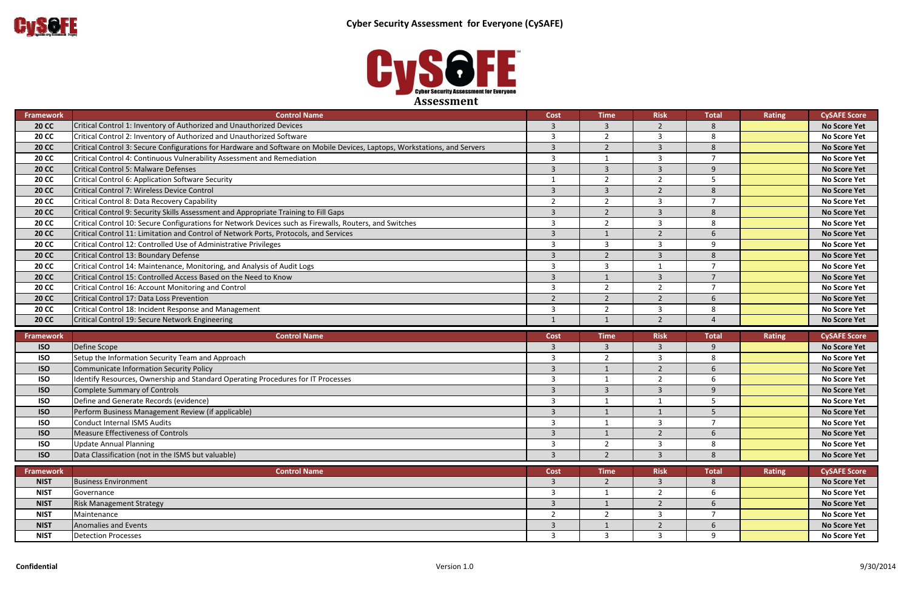

| Framework        | <b>Control Name</b>                                                                                                       | Cost                    | <b>Time</b>              | <b>Risk</b>    | <b>Total</b>   | Rating | <b>CySAFE Score</b> |
|------------------|---------------------------------------------------------------------------------------------------------------------------|-------------------------|--------------------------|----------------|----------------|--------|---------------------|
| <b>20 CC</b>     | Critical Control 1: Inventory of Authorized and Unauthorized Devices                                                      | $\overline{3}$          | $\overline{3}$           | $\overline{2}$ | 8              |        | <b>No Score Yet</b> |
| <b>20 CC</b>     | Critical Control 2: Inventory of Authorized and Unauthorized Software                                                     | $\overline{3}$          | $\overline{\phantom{a}}$ | $\overline{3}$ | 8              |        | <b>No Score Yet</b> |
| <b>20 CC</b>     | Critical Control 3: Secure Configurations for Hardware and Software on Mobile Devices, Laptops, Workstations, and Servers | $\overline{3}$          | $\overline{2}$           | $\overline{3}$ | 8              |        | <b>No Score Yet</b> |
| <b>20 CC</b>     | Critical Control 4: Continuous Vulnerability Assessment and Remediation                                                   | $\overline{3}$          |                          | 3              | $\overline{7}$ |        | <b>No Score Yet</b> |
| <b>20 CC</b>     | <b>Critical Control 5: Malware Defenses</b>                                                                               | $\overline{3}$          | $\overline{3}$           | $\overline{3}$ | 9              |        | <b>No Score Yet</b> |
| <b>20 CC</b>     | Critical Control 6: Application Software Security                                                                         | $\mathbf{1}$            | $\overline{2}$           | 2              | 5              |        | <b>No Score Yet</b> |
| <b>20 CC</b>     | Critical Control 7: Wireless Device Control                                                                               | $\overline{3}$          | $\overline{3}$           | $\overline{2}$ | 8              |        | <b>No Score Yet</b> |
| <b>20 CC</b>     | Critical Control 8: Data Recovery Capability                                                                              | $\overline{2}$          | $\overline{2}$           | $\mathcal{R}$  | $\overline{7}$ |        | <b>No Score Yet</b> |
| <b>20 CC</b>     | Critical Control 9: Security Skills Assessment and Appropriate Training to Fill Gaps                                      | $\overline{\mathbf{3}}$ | $\overline{2}$           | $\overline{3}$ | 8              |        | <b>No Score Yet</b> |
| <b>20 CC</b>     | Critical Control 10: Secure Configurations for Network Devices such as Firewalls, Routers, and Switches                   | $\overline{\mathbf{3}}$ | $\overline{2}$           | 3              | 8              |        | <b>No Score Yet</b> |
| <b>20 CC</b>     | Critical Control 11: Limitation and Control of Network Ports, Protocols, and Services                                     | $\overline{3}$          |                          | $\overline{2}$ | 6              |        | <b>No Score Yet</b> |
| <b>20 CC</b>     | Critical Control 12: Controlled Use of Administrative Privileges                                                          | $\overline{3}$          | 3                        | $\mathcal{R}$  | 9              |        | <b>No Score Yet</b> |
| <b>20 CC</b>     | Critical Control 13: Boundary Defense                                                                                     | $\overline{3}$          | $\mathcal{P}$            | $\mathbf{3}$   | 8              |        | <b>No Score Yet</b> |
| <b>20 CC</b>     | Critical Control 14: Maintenance, Monitoring, and Analysis of Audit Logs                                                  | $\overline{3}$          | 3                        |                | $\overline{7}$ |        | <b>No Score Yet</b> |
| <b>20 CC</b>     | Critical Control 15: Controlled Access Based on the Need to Know                                                          | $\overline{3}$          |                          | 3              | $\overline{7}$ |        | <b>No Score Yet</b> |
| <b>20 CC</b>     | Critical Control 16: Account Monitoring and Control                                                                       | $\overline{3}$          | $\mathcal{P}$            | $\overline{2}$ | $\overline{7}$ |        | <b>No Score Yet</b> |
| <b>20 CC</b>     | Critical Control 17: Data Loss Prevention                                                                                 | $\overline{2}$          | $\overline{2}$           | $\overline{2}$ | 6              |        | <b>No Score Yet</b> |
| <b>20 CC</b>     | Critical Control 18: Incident Response and Management                                                                     | $\overline{3}$          | $\overline{2}$           | 3              | 8              |        | <b>No Score Yet</b> |
| <b>20 CC</b>     | Critical Control 19: Secure Network Engineering                                                                           | $\mathbf{1}$            |                          | $2^{\circ}$    | $\Delta$       |        | <b>No Score Yet</b> |
| <b>Framework</b> | <b>Control Name</b>                                                                                                       | <b>Cost</b>             | <b>Time</b>              | <b>Risk</b>    | <b>Total</b>   | Rating | <b>CySAFE Score</b> |
| <b>ISO</b>       | Define Scope                                                                                                              | $\overline{3}$          | 3                        | $\mathbf{3}$   | 9              |        | <b>No Score Yet</b> |
| <b>ISO</b>       | Setup the Information Security Team and Approach                                                                          | $\overline{3}$          | $\overline{2}$           | 3              | 8              |        | <b>No Score Yet</b> |
| <b>ISO</b>       | <b>Communicate Information Security Policy</b>                                                                            | $\overline{\mathbf{3}}$ |                          | $\overline{2}$ | 6              |        | <b>No Score Yet</b> |
| <b>ISO</b>       | dentify Resources, Ownership and Standard Operating Procedures for IT Processes                                           | $\overline{3}$          | -1                       | $\overline{2}$ | 6              |        | <b>No Score Yet</b> |
| <b>ISO</b>       | <b>Complete Summary of Controls</b>                                                                                       | $\overline{\mathbf{3}}$ | $\overline{3}$           | 3              | 9              |        | <b>No Score Yet</b> |
| <b>ISO</b>       | Define and Generate Records (evidence)                                                                                    | $\overline{3}$          |                          |                | 5              |        | <b>No Score Yet</b> |
| <b>ISO</b>       | Perform Business Management Review (if applicable)                                                                        | $\overline{\mathbf{3}}$ | $\mathbf{1}$             |                | 5              |        | <b>No Score Yet</b> |
| <b>ISO</b>       | Conduct Internal ISMS Audits                                                                                              | $\overline{3}$          | $\mathbf 1$              | 3              | $\overline{7}$ |        | <b>No Score Yet</b> |
| <b>ISO</b>       | <b>Measure Effectiveness of Controls</b>                                                                                  | $\overline{3}$          | $\mathbf{1}$             | $\overline{2}$ | 6              |        | <b>No Score Yet</b> |
| <b>ISO</b>       | <b>Update Annual Planning</b>                                                                                             | $\overline{3}$          | $\overline{2}$           | ξ              | 8              |        | <b>No Score Yet</b> |
| <b>ISO</b>       | Data Classification (not in the ISMS but valuable)                                                                        | $\overline{3}$          | $\mathcal{L}$            | $\mathbf{R}$   | $\mathbf{8}$   |        | <b>No Score Yet</b> |
|                  |                                                                                                                           |                         |                          |                |                |        |                     |

| <b>Framework</b> | <b>Control Name</b>                                | <b>Cost</b> | Time | <b>Risk</b> |
|------------------|----------------------------------------------------|-------------|------|-------------|
|                  |                                                    |             |      |             |
| <b>ISO</b>       | Data Classification (not in the ISMS but valuable) |             |      |             |
| <b>ISO</b>       | Update Annual Planning                             |             |      |             |
| <b>ISO</b>       | Measure Effectiveness of Controls                  |             |      |             |
| <b>ISO</b>       | Conduct Internal ISMS Audits                       |             |      |             |
| <b>ISO</b>       | Perform Business Management Review (if applicable) |             |      |             |
| <b>ISO</b>       | Define and Generate Records (evidence)             |             |      |             |
| $ -$             |                                                    |             |      |             |

| Framework   | <b>Control Name</b>             | Cost | <b>Time</b> | <b>Risk</b> | Total | Rating | <b>CySAFE Score</b> |
|-------------|---------------------------------|------|-------------|-------------|-------|--------|---------------------|
| <b>NIST</b> | <b>Business Environment</b>     |      |             |             |       |        | <b>No Score Yet</b> |
| <b>NIST</b> | Governance                      |      |             |             |       |        | <b>No Score Yet</b> |
| <b>NIST</b> | <b>Risk Management Strategy</b> |      |             |             |       |        | <b>No Score Yet</b> |
| <b>NIST</b> | Maintenance                     |      |             |             |       |        | <b>No Score Yet</b> |
| <b>NIST</b> | Anomalies and Events            |      |             |             |       |        | <b>No Score Yet</b> |
| <b>NIST</b> | Detection Processes             |      |             |             |       |        | <b>No Score Yet</b> |

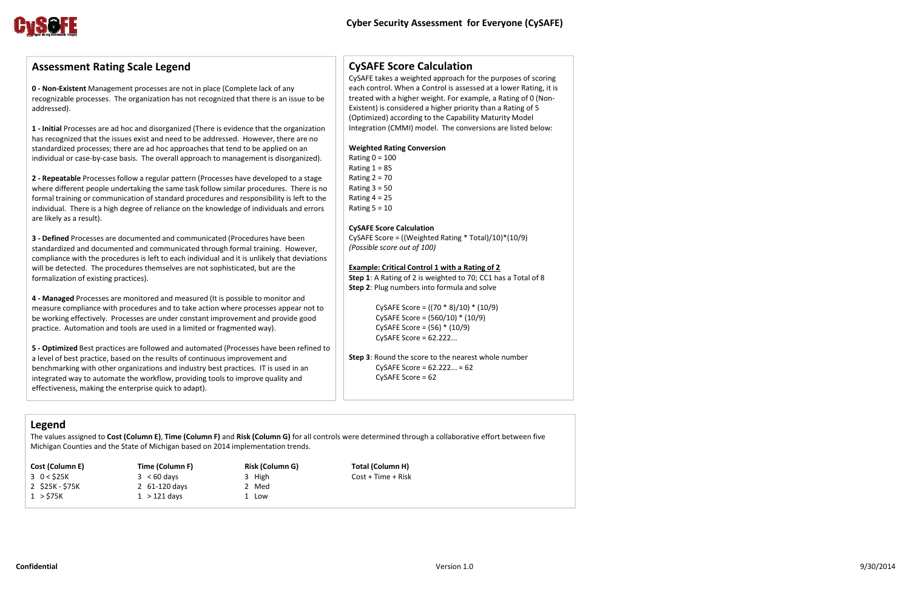

# **CySAFE Score Calculation**

CySAFE takes <sup>a</sup> weighted approach for the purposes of scoring each control. When <sup>a</sup> Control is assessed at <sup>a</sup> lower Rating, it is treated with <sup>a</sup> higher weight. For example, <sup>a</sup> Rating of 0 (Non‐ Existent) is considered <sup>a</sup> higher priority than <sup>a</sup> Rating of 5 (Optimized) according to the Capability Maturity Model Integration (CMMI) model. The conversions are listed below:

Rating  $0 = 100$ Rating  $1 = 85$ Rating  $2 = 70$ Rating  $3 = 50$ Rating  $4 = 25$ Rating 5 <sup>=</sup> 10

### **Weighted Rating Conversion**

### **CySAFE Score Calculation**

CySAFE Score <sup>=</sup> ((Weighted Rating \* Total)/10)\*(10/9) *(Possible score out of 100)*

### **Example: Critical Control 1 with <sup>a</sup> Rating of 2**

**Step 1**: A Rating of 2 is weighted to 70; CC1 has <sup>a</sup> Total of 8 **Step 2**: Plug numbers into formula and solve

> CySAFE Score <sup>=</sup> ((70 \* 8)/10) \* (10/9) CySAFE Score <sup>=</sup> (560/10) \* (10/9) CySAFE Score <sup>=</sup> (56) \* (10/9) CySAFE Score <sup>=</sup> 62.222...

**Step 3**: Round the score to the nearest whole number CySAFE Score =  $62.222... \approx 62$ CySAFE Score <sup>=</sup> 62

# **Assessment Rating Scale Legend**

**0 ‐ Non‐Existent** Management processes are not in place (Complete lack of any recognizable processes. The organization has not recognized that there is an issue to be addressed).

**1 ‐ Initial** Processes are ad hoc and disorganized (There is evidence that the organization has recognized that the issues exist and need to be addressed. However, there are no standardized processes; there are ad hoc approaches that tend to be applied on an individual or case‐by‐case basis. The overall approach to management is disorganized).

**2 ‐ Repeatable** Processesfollow <sup>a</sup> regular pattern (Processes have developed to <sup>a</sup> stage where different people undertaking the same task follow similar procedures. There is no formal training or communication of standard procedures and responsibility is left to the individual. There is <sup>a</sup> high degree of reliance on the knowledge of individuals and errors are likely as <sup>a</sup> result).

**3 ‐ Defined** Processes are documented and communicated (Procedures have been standardized and documented and communicated through formal training. However, compliance with the procedures is left to each individual and it is unlikely that deviations will be detected. The procedures themselves are not sophisticated, but are the formalization of existing practices).

**4 ‐ Managed** Processes are monitored and measured (It is possible to monitor and measure compliance with procedures and to take action where processes appear not to be working effectively. Processes are under constant improvement and provide good practice. Automation and tools are used in <sup>a</sup> limited or fragmented way).

**5 ‐ Optimized** Best practices are followed and automated (Processes have been refined to a level of best practice, based on the results of continuous improvement and benchmarking with other organizations and industry best practices. IT is used in an integrated way to automate the workflow, providing tools to improve quality and effectiveness, making the enterprise quick to adapt).

## **Legend**

The values assigned to **Cost (Column E)**, **Time (Column F)** and **Risk (Column G)** for all controls were determined through <sup>a</sup> collaborative effort between five Michigan Counties and the State of Michigan based on 2014 implementation trends.

| Cost (Column E) | Time (Column F) | <b>Risk (Column G)</b> |
|-----------------|-----------------|------------------------|
| $3 \t 0 < $25K$ | $3 < 60$ days   | 3 High                 |
| 2 \$25K - \$75K | 2 $61-120$ days | 2 Med                  |
| $1 >$ \$75K     | $1 > 121$ days  | 1 Low                  |

 **Total (Column H)**  $Cost + Time + Risk$ 

1.0 9/30/2014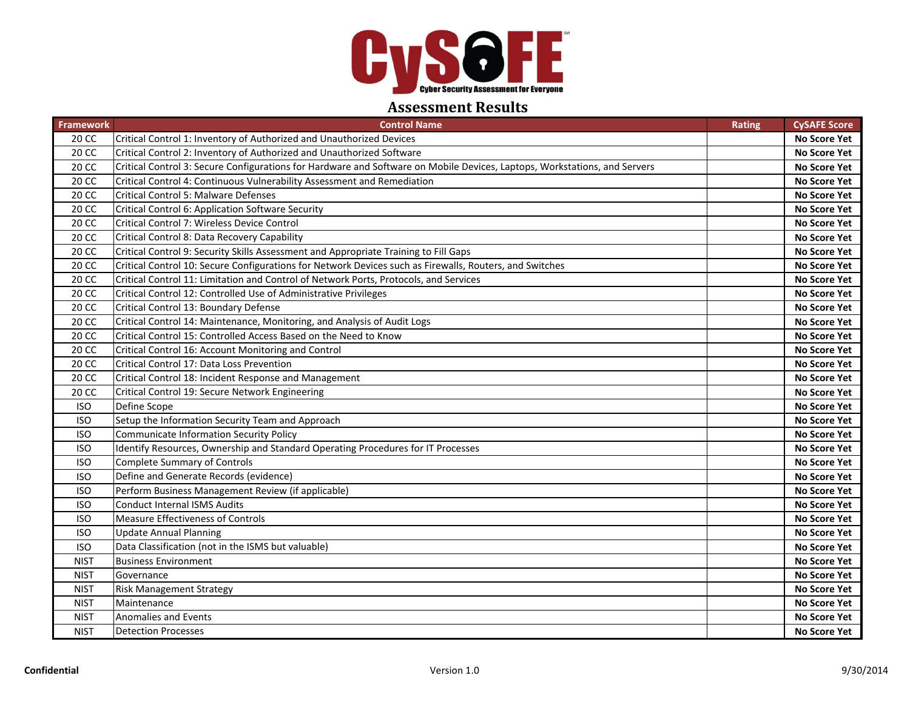

### **Assessment Results**

| <b>Framework</b> | <b>Control Name</b>                                                                                                       | <b>Rating</b> | <b>CySAFE Score</b> |
|------------------|---------------------------------------------------------------------------------------------------------------------------|---------------|---------------------|
| 20 CC            | Critical Control 1: Inventory of Authorized and Unauthorized Devices                                                      |               | <b>No Score Yet</b> |
| 20 CC            | Critical Control 2: Inventory of Authorized and Unauthorized Software                                                     |               | No Score Yet        |
| 20 CC            | Critical Control 3: Secure Configurations for Hardware and Software on Mobile Devices, Laptops, Workstations, and Servers |               | <b>No Score Yet</b> |
| 20 CC            | Critical Control 4: Continuous Vulnerability Assessment and Remediation                                                   |               | No Score Yet        |
| 20 CC            | <b>Critical Control 5: Malware Defenses</b>                                                                               |               | <b>No Score Yet</b> |
| 20 CC            | Critical Control 6: Application Software Security                                                                         |               | No Score Yet        |
| 20 CC            | Critical Control 7: Wireless Device Control                                                                               |               | <b>No Score Yet</b> |
| 20 CC            | Critical Control 8: Data Recovery Capability                                                                              |               | <b>No Score Yet</b> |
| 20 CC            | Critical Control 9: Security Skills Assessment and Appropriate Training to Fill Gaps                                      |               | <b>No Score Yet</b> |
| 20 CC            | Critical Control 10: Secure Configurations for Network Devices such as Firewalls, Routers, and Switches                   |               | <b>No Score Yet</b> |
| 20 CC            | Critical Control 11: Limitation and Control of Network Ports, Protocols, and Services                                     |               | <b>No Score Yet</b> |
| 20 CC            | Critical Control 12: Controlled Use of Administrative Privileges                                                          |               | <b>No Score Yet</b> |
| 20 CC            | Critical Control 13: Boundary Defense                                                                                     |               | <b>No Score Yet</b> |
| 20 CC            | Critical Control 14: Maintenance, Monitoring, and Analysis of Audit Logs                                                  |               | No Score Yet        |
| 20 CC            | Critical Control 15: Controlled Access Based on the Need to Know                                                          |               | No Score Yet        |
| 20 CC            | Critical Control 16: Account Monitoring and Control                                                                       |               | <b>No Score Yet</b> |
| 20 CC            | Critical Control 17: Data Loss Prevention                                                                                 |               | No Score Yet        |
| 20 CC            | Critical Control 18: Incident Response and Management                                                                     |               | <b>No Score Yet</b> |
| 20 CC            | Critical Control 19: Secure Network Engineering                                                                           |               | No Score Yet        |
| <b>ISO</b>       | Define Scope                                                                                                              |               | <b>No Score Yet</b> |
| <b>ISO</b>       | Setup the Information Security Team and Approach                                                                          |               | <b>No Score Yet</b> |
| <b>ISO</b>       | <b>Communicate Information Security Policy</b>                                                                            |               | No Score Yet        |
| <b>ISO</b>       | Identify Resources, Ownership and Standard Operating Procedures for IT Processes                                          |               | <b>No Score Yet</b> |
| <b>ISO</b>       | <b>Complete Summary of Controls</b>                                                                                       |               | No Score Yet        |
| <b>ISO</b>       | Define and Generate Records (evidence)                                                                                    |               | <b>No Score Yet</b> |
| <b>ISO</b>       | Perform Business Management Review (if applicable)                                                                        |               | No Score Yet        |
| <b>ISO</b>       | <b>Conduct Internal ISMS Audits</b>                                                                                       |               | <b>No Score Yet</b> |
| <b>ISO</b>       | Measure Effectiveness of Controls                                                                                         |               | No Score Yet        |
| <b>ISO</b>       | <b>Update Annual Planning</b>                                                                                             |               | No Score Yet        |
| <b>ISO</b>       | Data Classification (not in the ISMS but valuable)                                                                        |               | No Score Yet        |
| <b>NIST</b>      | <b>Business Environment</b>                                                                                               |               | <b>No Score Yet</b> |
| <b>NIST</b>      | Governance                                                                                                                |               | <b>No Score Yet</b> |
| <b>NIST</b>      | <b>Risk Management Strategy</b>                                                                                           |               | No Score Yet        |
| <b>NIST</b>      | Maintenance                                                                                                               |               | No Score Yet        |
| <b>NIST</b>      | <b>Anomalies and Events</b>                                                                                               |               | <b>No Score Yet</b> |
| <b>NIST</b>      | <b>Detection Processes</b>                                                                                                |               | No Score Yet        |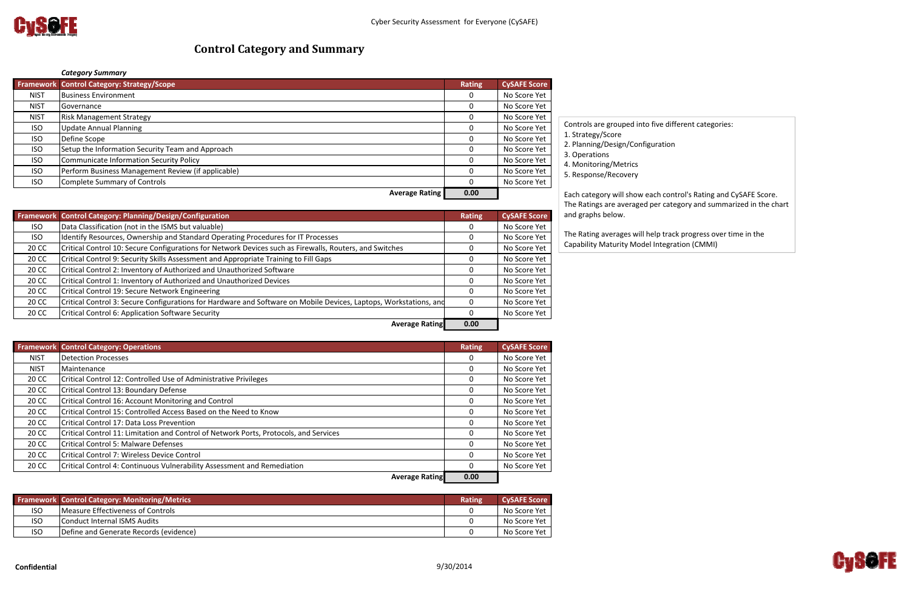

# *Category Summary*

|             | <b>Framework Control Category: Strategy/Scope</b>  | <b>Rating</b> | <b>CySAFE Score</b> |
|-------------|----------------------------------------------------|---------------|---------------------|
| <b>NIST</b> | <b>Business Environment</b>                        |               | No Score Yet        |
| <b>NIST</b> | <b>Governance</b>                                  |               | No Score Yet        |
| <b>NIST</b> | <b>Risk Management Strategy</b>                    |               | No Score Yet        |
| <b>ISO</b>  | <b>Update Annual Planning</b>                      |               | No Score Yet        |
| <b>ISO</b>  | Define Scope                                       |               | No Score Yet        |
| <b>ISO</b>  | Setup the Information Security Team and Approach   |               | No Score Yet        |
| <b>ISO</b>  | Communicate Information Security Policy            |               | No Score Yet        |
| <b>ISO</b>  | Perform Business Management Review (if applicable) |               | No Score Yet        |
| <b>ISO</b>  | Complete Summary of Controls                       |               | No Score Yet        |
|             | <b>Average Rating</b>                              | 0.00          |                     |

**Framework Control Category: Planning/Design/Configuration Rating CySAFE Score** ISO Data Classification (not in the ISMS but valuable) 0 No Score Yet ISO Identify Resources, Ownership and Standard Operating Procedures for IT Processes and Moscore Yet No Score Yet 20 CC Critical Control 10: Secure Configurations for Network Devices such as Firewalls, Routers, and Switches  $\vert$  0 No Score Yet 20 CC Critical Control 9: Security Skills Assessment and Appropriate Training to Fill Gaps 0 0 No Score Yet 20 CC Critical Control 2: Inventory of Authorized and Unauthorized Software **0 No Score Yet** 0 No Score Yet 20 CC Critical Control 1: Inventory of Authorized and Unauthorized Devices and Control and Control 1: Inventory of Authorized and Unauthorized Devices and Control 20 No Score Yet 20 CC Critical Control 19: Secure Network Engineering **Critical Control 19: Secure Network Engineering** Critical Control No Score Yet 20 CC Critical Control 3: Secure Configurations for Hardware and Software on Mobile Devices, Laptops, Workstations, and 0 No Score Yet 20 CC CC Critical Control 6: Application Software Security 0 No Score Yet **Average Rating 0.00**

|             | <b>Framework Control Category: Operations</b>                                         | Rating   | <b>CySAFE Score</b> |
|-------------|---------------------------------------------------------------------------------------|----------|---------------------|
| <b>NIST</b> | <b>Detection Processes</b>                                                            | 0        | No Score Yet        |
| <b>NIST</b> | Maintenance                                                                           | 0        | No Score Yet        |
| 20 CC       | Critical Control 12: Controlled Use of Administrative Privileges                      | 0        | No Score Yet        |
| 20 CC       | Critical Control 13: Boundary Defense                                                 | 0        | No Score Yet        |
| 20 CC       | Critical Control 16: Account Monitoring and Control                                   | $\Omega$ | No Score Yet        |
| 20 CC       | Critical Control 15: Controlled Access Based on the Need to Know                      | 0        | No Score Yet        |
| 20 CC       | Critical Control 17: Data Loss Prevention                                             | 0        | No Score Yet        |
| 20 CC       | Critical Control 11: Limitation and Control of Network Ports, Protocols, and Services | 0        | No Score Yet        |
| 20 CC       | <b>Critical Control 5: Malware Defenses</b>                                           | 0        | No Score Yet        |
| 20 CC       | <b>Critical Control 7: Wireless Device Control</b>                                    | $\Omega$ | No Score Yet        |
| 20 CC       | Critical Control 4: Continuous Vulnerability Assessment and Remediation               | $\Omega$ | No Score Yet        |
|             | Augusta Dation                                                                        | 0.00     |                     |

**Average Rating 0.00**

|            | <b>Framework Control Category: Monitoring/Metrics</b> | <b>Rating</b> | <b>CySAFE Score</b> |
|------------|-------------------------------------------------------|---------------|---------------------|
| <b>ISO</b> | Measure Effectiveness of Controls                     |               | No Score Yet        |
| <b>ISO</b> | <b>Conduct Internal ISMS Audits</b>                   |               | No Score Yet        |
| <b>ISO</b> | Define and Generate Records (evidence)                |               | No Score Yet        |

# **Control Category and Summary**

Controls are grouped into five different categories: 1. Strategy/Score

- 2. Planning/Design/Configuration
- 3. Operations
- 4. Monitoring/Metrics
- 5. Response/Recovery

### Each category will show each control's Rating and CySAFE Score. The Ratings are averaged per category and summarized in the chart



and graphs below.

The Rating averages will help track progress over time in the Capability Maturity Model Integration (CMMI)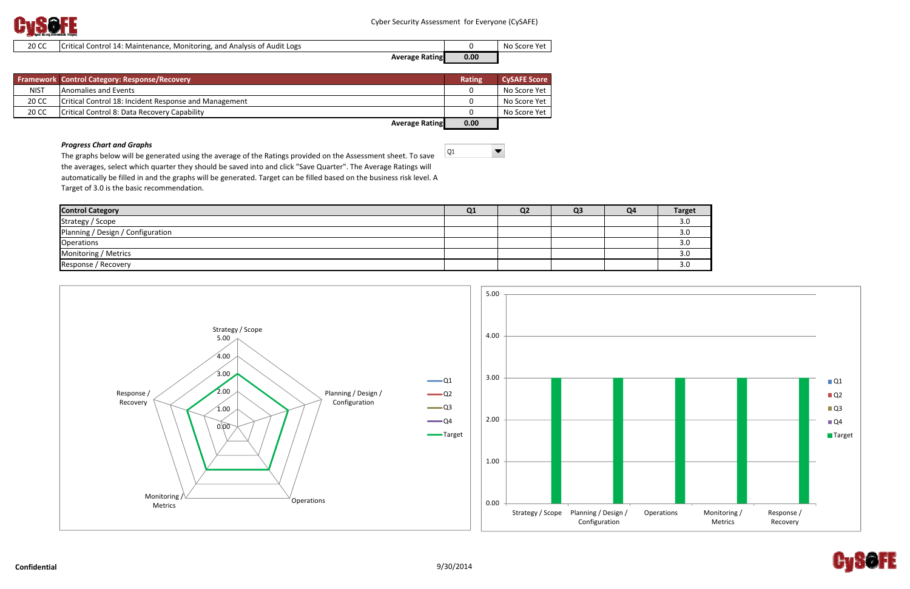

 $\blacktriangledown$ 

| 20 CC | <b>ICritical Control 14: Maintenance, Monitoring, and Analysis of Audit Logs</b> |      | No<br>، Score Yet |
|-------|----------------------------------------------------------------------------------|------|-------------------|
|       | <b>Average Rating</b>                                                            | 0.00 |                   |

|             | Framework Control Category: Response/Recovery         | <b>Rating</b> | <b>CySAFE Score</b> |
|-------------|-------------------------------------------------------|---------------|---------------------|
| <b>NIST</b> | Anomalies and Events                                  |               | No Score Yet        |
| 20 CC       | Critical Control 18: Incident Response and Management |               | No Score Yet        |
| 20 CC       | Critical Control 8: Data Recovery Capability          |               | No Score Yet        |
|             | Augrace Datinel                                       | 0.00          |                     |

**Average Rating 0.00**

 $Q1$ 

### *Progress Chart and Graphs*

The graphs below will be generated using the average of the Ratings provided on the Assessment sheet. To save the averages, select which quarter they should be saved into and click "Save Quarter". The Average Ratings will automatically be filled in and the graphs will be generated. Target can be filled based on the business risk level. A Target of 3.0 is the basic recommendation.

| <b>Control Category</b>           | Q1 | Q <sub>2</sub> | Q <sub>3</sub> | Q <sub>4</sub> | <b>Target</b> |
|-----------------------------------|----|----------------|----------------|----------------|---------------|
| Strategy / Scope                  |    |                |                |                | 3.0           |
| Planning / Design / Configuration |    |                |                |                | 3.0           |
| Operations                        |    |                |                |                | 3.0           |
| Monitoring / Metrics              |    |                |                |                | 3.0           |
| Response / Recovery               |    |                |                |                | 3.0           |



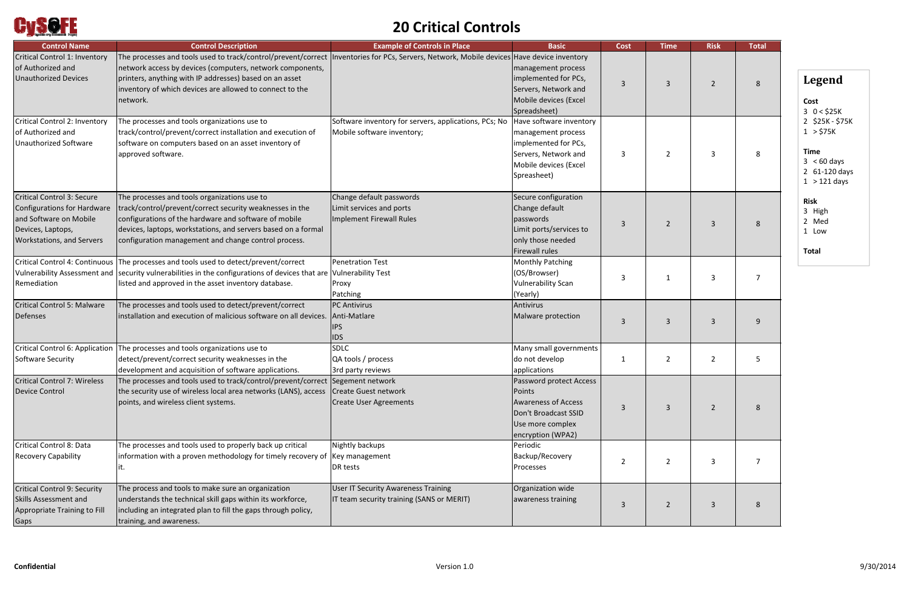

# **20 Critical Controls**

| <b>Control Name</b>                                                                                                                                 | <b>Control Description</b>                                                                                                                                                                                                                                                                                                                                                                 | <b>Example of Controls in Place</b>                                                     | <b>Basic</b>                                                                                                                           | <b>Cost</b>    | <b>Time</b>    | <b>Risk</b>    | <b>Total</b> |
|-----------------------------------------------------------------------------------------------------------------------------------------------------|--------------------------------------------------------------------------------------------------------------------------------------------------------------------------------------------------------------------------------------------------------------------------------------------------------------------------------------------------------------------------------------------|-----------------------------------------------------------------------------------------|----------------------------------------------------------------------------------------------------------------------------------------|----------------|----------------|----------------|--------------|
| Critical Control 1: Inventory<br>of Authorized and<br><b>Unauthorized Devices</b><br>Critical Control 2: Inventory                                  | The processes and tools used to track/control/prevent/correct  Inventories for PCs, Servers, Network, Mobile devices Have device inventory<br>network access by devices (computers, network components,<br>printers, anything with IP addresses) based on an asset<br>inventory of which devices are allowed to connect to the<br>network.<br>The processes and tools organizations use to | Software inventory for servers, applications, PCs; No                                   | management process<br>implemented for PCs,<br>Servers, Network and<br>Mobile devices (Excel<br>Spreadsheet)<br>Have software inventory | 3              | $\overline{3}$ | $\overline{2}$ | 8            |
| of Authorized and<br><b>Unauthorized Software</b>                                                                                                   | track/control/prevent/correct installation and execution of<br>software on computers based on an asset inventory of<br>approved software.                                                                                                                                                                                                                                                  | Mobile software inventory;                                                              | management process<br>implemented for PCs,<br>Servers, Network and<br>Mobile devices (Excel<br>Spreasheet)                             | 3              | $\overline{2}$ | 3              | 8            |
| <b>Critical Control 3: Secure</b><br>Configurations for Hardware<br>and Software on Mobile<br>Devices, Laptops,<br><b>Workstations, and Servers</b> | The processes and tools organizations use to<br>track/control/prevent/correct security weaknesses in the<br>configurations of the hardware and software of mobile<br>devices, laptops, workstations, and servers based on a formal<br>configuration management and change control process.                                                                                                 | Change default passwords<br>Limit services and ports<br>Implement Firewall Rules        | Secure configuration<br>Change default<br>passwords<br>Limit ports/services to<br>only those needed<br><b>Firewall rules</b>           | 3              | $\overline{2}$ | 3              |              |
| Remediation                                                                                                                                         | Critical Control 4: Continuous The processes and tools used to detect/prevent/correct<br>Vulnerability Assessment and security vulnerabilities in the configurations of devices that are Vulnerability Test<br>listed and approved in the asset inventory database.                                                                                                                        | <b>Penetration Test</b><br>Proxy<br>Patching                                            | <b>Monthly Patching</b><br>(OS/Browser)<br><b>Vulnerability Scan</b><br>(Yearly)                                                       | 3              | 1              | 3              |              |
| <b>Critical Control 5: Malware</b><br>Defenses                                                                                                      | The processes and tools used to detect/prevent/correct<br>installation and execution of malicious software on all devices.                                                                                                                                                                                                                                                                 | <b>PC</b> Antivirus<br>Anti-Matlare<br><b>IPS</b><br><b>IDS</b>                         | Antivirus<br>Malware protection                                                                                                        | 3              | $\overline{3}$ | 3              |              |
| Critical Control 6: Application<br><b>Software Security</b>                                                                                         | The processes and tools organizations use to<br>detect/prevent/correct security weaknesses in the<br>development and acquisition of software applications.                                                                                                                                                                                                                                 | <b>SDLC</b><br>QA tools / process<br>3rd party reviews                                  | Many small governments<br>do not develop<br>applications                                                                               | 1              | $\overline{2}$ | $\overline{2}$ |              |
| Critical Control 7: Wireless<br><b>Device Control</b>                                                                                               | The processes and tools used to track/control/prevent/correct Segement network<br>the security use of wireless local area networks (LANS), access<br>points, and wireless client systems.                                                                                                                                                                                                  | Create Guest network<br><b>Create User Agreements</b>                                   | Password protect Access<br>Points<br><b>Awareness of Access</b><br>Don't Broadcast SSID<br>Use more complex<br>encryption (WPA2)       | 3              | 3              | $\overline{2}$ | 8            |
| Critical Control 8: Data<br><b>Recovery Capability</b>                                                                                              | The processes and tools used to properly back up critical<br>information with a proven methodology for timely recovery of<br>ıt.                                                                                                                                                                                                                                                           | Nightly backups<br>Key management<br>DR tests                                           | Periodic<br>Backup/Recovery<br>Processes                                                                                               | $\overline{2}$ | $\overline{2}$ | 3              | 7            |
| <b>Critical Control 9: Security</b><br><b>Skills Assessment and</b><br>Appropriate Training to Fill<br>Gaps                                         | The process and tools to make sure an organization<br>understands the technical skill gaps within its workforce,<br>including an integrated plan to fill the gaps through policy,<br>training, and awareness.                                                                                                                                                                              | <b>User IT Security Awareness Training</b><br>IT team security training (SANS or MERIT) | Organization wide<br>awareness training                                                                                                | 3              | $\overline{2}$ | 3              | 8            |

# **Legend**

### **Cost**

- 3 0 <sup>&</sup>lt; \$25K
- 2 \$25K ‐ \$75K
- 1 <sup>&</sup>gt; \$75K

## **Time**

- 3 <sup>&</sup>lt; 60 days
- 2 61‐120 days
- 1 <sup>&</sup>gt; 121 days

## **Risk**

- 3 High
- 2 Med
- 1 Low

**Total**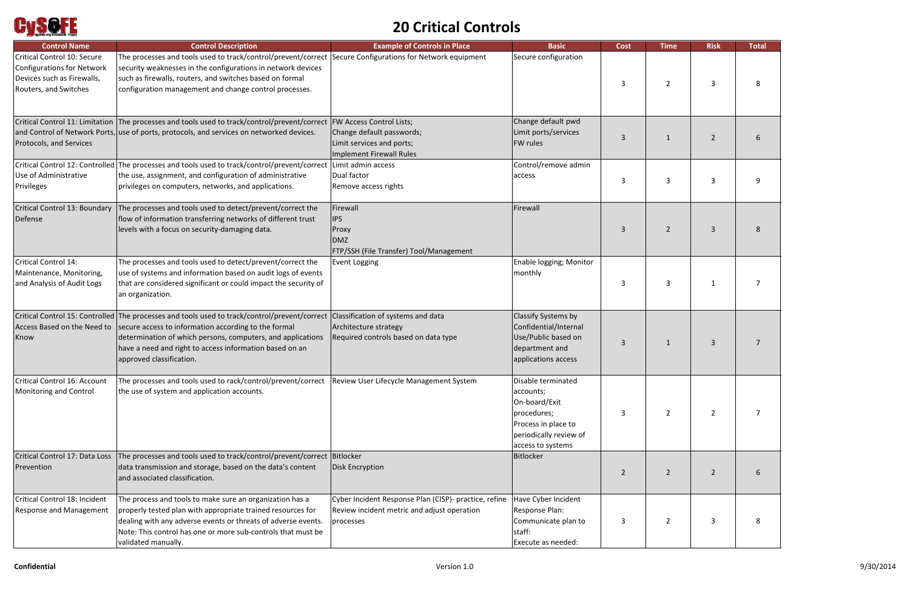

# **20 Critical Controls**

| <b>Control Name</b>                                                                                              | <b>Control Description</b>                                                                                                                                                                                                                                                                                                              | <b>Example of Controls in Place</b>                                                                               | <b>Basic</b>                                                                                                                          | <b>Cost</b> | <b>Time</b>    | <b>Risk</b>    | <b>Total</b> |
|------------------------------------------------------------------------------------------------------------------|-----------------------------------------------------------------------------------------------------------------------------------------------------------------------------------------------------------------------------------------------------------------------------------------------------------------------------------------|-------------------------------------------------------------------------------------------------------------------|---------------------------------------------------------------------------------------------------------------------------------------|-------------|----------------|----------------|--------------|
| Critical Control 10: Secure<br>Configurations for Network<br>Devices such as Firewalls,<br>Routers, and Switches | The processes and tools used to track/control/prevent/correct Secure Configurations for Network equipment<br>security weaknesses in the configurations in network devices<br>such as firewalls, routers, and switches based on formal<br>configuration management and change control processes.                                         |                                                                                                                   | Secure configuration                                                                                                                  | 3           | $\overline{2}$ | 3              |              |
| Protocols, and Services                                                                                          | Critical Control 11: Limitation The processes and tools used to track/control/prevent/correct FW Access Control Lists;<br>and Control of Network Ports, use of ports, protocols, and services on networked devices.                                                                                                                     | Change default passwords;<br>Limit services and ports;<br>Implement Firewall Rules                                | Change default pwd<br>Limit ports/services<br><b>FW rules</b>                                                                         | 3           | $\mathbf{1}$   | 2              |              |
| Use of Administrative<br>Privileges                                                                              | Critical Control 12: Controlled The processes and tools used to track/control/prevent/correct<br>the use, assignment, and configuration of administrative<br>privileges on computers, networks, and applications.                                                                                                                       | Limit admin access<br>Dual factor<br>Remove access rights                                                         | Control/remove admin<br>access                                                                                                        | 3           | $\overline{3}$ | 3              |              |
| Critical Control 13: Boundary<br>Defense                                                                         | The processes and tools used to detect/prevent/correct the<br>flow of information transferring networks of different trust<br>levels with a focus on security-damaging data.                                                                                                                                                            | Firewall<br><b>IPS</b><br>Proxy<br><b>DMZ</b><br>FTP/SSH (File Transfer) Tool/Management                          | Firewall                                                                                                                              | 3           | $\overline{2}$ | 3              |              |
| Critical Control 14:<br>Maintenance, Monitoring,<br>and Analysis of Audit Logs                                   | The processes and tools used to detect/prevent/correct the<br>use of systems and information based on audit logs of events<br>that are considered significant or could impact the security of<br>an organization.                                                                                                                       | <b>Event Logging</b>                                                                                              | Enable logging; Monitor<br>monthly                                                                                                    | 3           | $\overline{3}$ |                |              |
| Know                                                                                                             | Critical Control 15: Controlled The processes and tools used to track/control/prevent/correct<br>Access Based on the Need to secure access to information according to the formal<br>determination of which persons, computers, and applications<br>have a need and right to access information based on an<br>approved classification. | Classification of systems and data<br>Architecture strategy<br>Required controls based on data type               | Classify Systems by<br>Confidential/Internal<br>Use/Public based on<br>department and<br>applications access                          | 3           | 1              | 3              |              |
| Critical Control 16: Account<br>Monitoring and Control                                                           | The processes and tools used to rack/control/prevent/correct<br>the use of system and application accounts.                                                                                                                                                                                                                             | Review User Lifecycle Management System                                                                           | Disable terminated<br>accounts;<br>On-board/Exit<br>procedures;<br>Process in place to<br>periodically review of<br>access to systems | 3           | $\overline{2}$ | $\mathbf{2}$   | 7            |
| Critical Control 17: Data Loss<br>Prevention                                                                     | The processes and tools used to track/control/prevent/correct Bitlocker<br>data transmission and storage, based on the data's content<br>and associated classification.                                                                                                                                                                 | <b>Disk Encryption</b>                                                                                            | Bitlocker                                                                                                                             | 2           | $\overline{2}$ | $\overline{2}$ |              |
| Critical Control 18: Incident<br><b>Response and Management</b>                                                  | The process and tools to make sure an organization has a<br>properly tested plan with appropriate trained resources for<br>dealing with any adverse events or threats of adverse events.<br>Note: This control has one or more sub-controls that must be<br>validated manually.                                                         | Cyber Incident Response Plan (CISP)- practice, refine<br>Review incident metric and adjust operation<br>processes | Have Cyber Incident<br>Response Plan:<br>Communicate plan to<br>staff:<br>Execute as needed:                                          | 3           | $\overline{2}$ | 3              |              |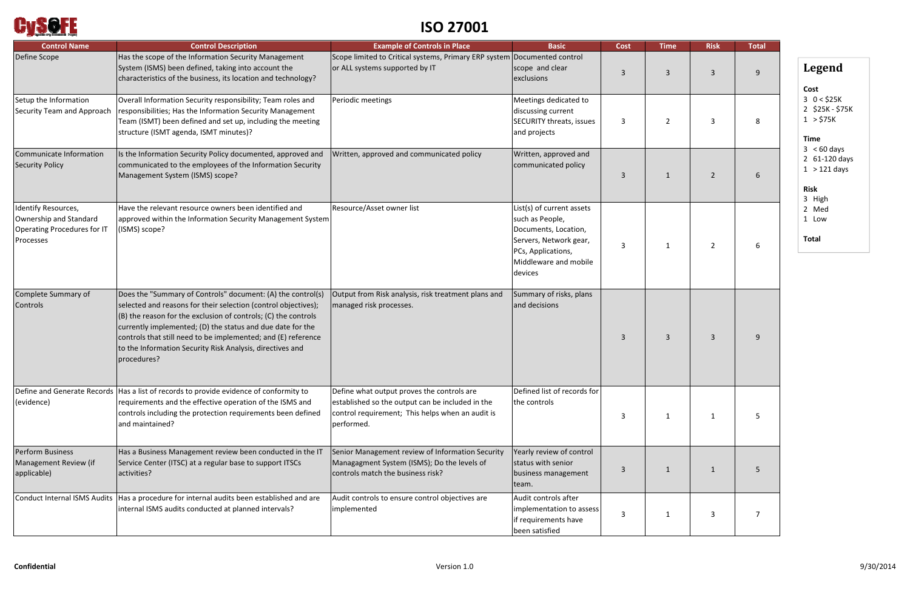

# **ISO 27001**

| <b>Control Name</b>                                                                       | <b>Control Description</b>                                                                                                                                                                                                                                                                                                                                                                                    | <b>Example of Controls in Place</b>                                                                                                                              | <b>Basic</b>                                                                                                                                             | <b>Cost</b> | <b>Time</b>    | <b>Risk</b>    | <b>Total</b> |
|-------------------------------------------------------------------------------------------|---------------------------------------------------------------------------------------------------------------------------------------------------------------------------------------------------------------------------------------------------------------------------------------------------------------------------------------------------------------------------------------------------------------|------------------------------------------------------------------------------------------------------------------------------------------------------------------|----------------------------------------------------------------------------------------------------------------------------------------------------------|-------------|----------------|----------------|--------------|
| Define Scope                                                                              | Has the scope of the Information Security Management<br>System (ISMS) been defined, taking into account the<br>characteristics of the business, its location and technology?                                                                                                                                                                                                                                  | Scope limited to Critical systems, Primary ERP system Documented control<br>or ALL systems supported by IT                                                       | scope and clear<br>exclusions                                                                                                                            | 3           | $\overline{3}$ | $\mathbf{3}$   | q            |
| Setup the Information<br>Security Team and Approach                                       | Overall Information Security responsibility; Team roles and<br>responsibilities; Has the Information Security Management<br>Team (ISMT) been defined and set up, including the meeting<br>structure (ISMT agenda, ISMT minutes)?                                                                                                                                                                              | Periodic meetings                                                                                                                                                | Meetings dedicated to<br>discussing current<br>SECURITY threats, issues<br>and projects                                                                  | 3           | $\overline{2}$ | 3              |              |
| Communicate Information<br><b>Security Policy</b>                                         | Is the Information Security Policy documented, approved and<br>communicated to the employees of the Information Security<br>Management System (ISMS) scope?                                                                                                                                                                                                                                                   | Written, approved and communicated policy                                                                                                                        | Written, approved and<br>communicated policy                                                                                                             | 3           | -1             | $\overline{2}$ |              |
| Identify Resources,<br>Ownership and Standard<br>Operating Procedures for IT<br>Processes | Have the relevant resource owners been identified and<br>approved within the Information Security Management System<br>(ISMS) scope?                                                                                                                                                                                                                                                                          | Resource/Asset owner list                                                                                                                                        | List(s) of current assets<br>such as People,<br>Documents, Location,<br>Servers, Network gear,<br>PCs, Applications,<br>Middleware and mobile<br>devices | 3           | -1             | $\overline{2}$ |              |
| Complete Summary of<br>Controls                                                           | Does the "Summary of Controls" document: (A) the control(s)<br>selected and reasons for their selection (control objectives);<br>$($ B) the reason for the exclusion of controls; (C) the controls<br>currently implemented; (D) the status and due date for the<br>controls that still need to be implemented; and (E) reference<br>to the Information Security Risk Analysis, directives and<br>procedures? | Output from Risk analysis, risk treatment plans and<br>managed risk processes.                                                                                   | Summary of risks, plans<br>and decisions                                                                                                                 | 3           | $\overline{3}$ | $\mathbf{3}$   |              |
| (evidence)                                                                                | Define and Generate Records   Has a list of records to provide evidence of conformity to<br>requirements and the effective operation of the ISMS and<br>controls including the protection requirements been defined<br>and maintained?                                                                                                                                                                        | Define what output proves the controls are<br>established so the output can be included in the<br>control requirement; This helps when an audit is<br>performed. | Defined list of records for<br>the controls                                                                                                              | 3           | 1              | 1              |              |
| <b>Perform Business</b><br>Management Review (if<br>applicable)                           | Has a Business Management review been conducted in the IT<br>Service Center (ITSC) at a regular base to support ITSCs<br>activities?                                                                                                                                                                                                                                                                          | Senior Management review of Information Security<br>Managagment System (ISMS); Do the levels of<br>controls match the business risk?                             | Yearly review of control<br>status with senior<br>business management<br>team.                                                                           | 3           | -1             | 1              |              |
| <b>Conduct Internal ISMS Audits</b>                                                       | Has a procedure for internal audits been established and are<br>internal ISMS audits conducted at planned intervals?                                                                                                                                                                                                                                                                                          | Audit controls to ensure control objectives are<br>implemented                                                                                                   | Audit controls after<br>implementation to assess<br>if requirements have<br>been satisfied                                                               | 3           | -1             | 3              |              |

- 3 <sup>&</sup>lt; 60 days
- 2 61‐120 days
- $1 > 121$  days

# **Legend**

### **Cost**

- 3 0 <sup>&</sup>lt; \$25K
- 2 \$25K ‐ \$75K
- 1 <sup>&</sup>gt; \$75K

### **Time**

### **Risk**

- 3 High
- 2 Med
- 1 Low

**Total**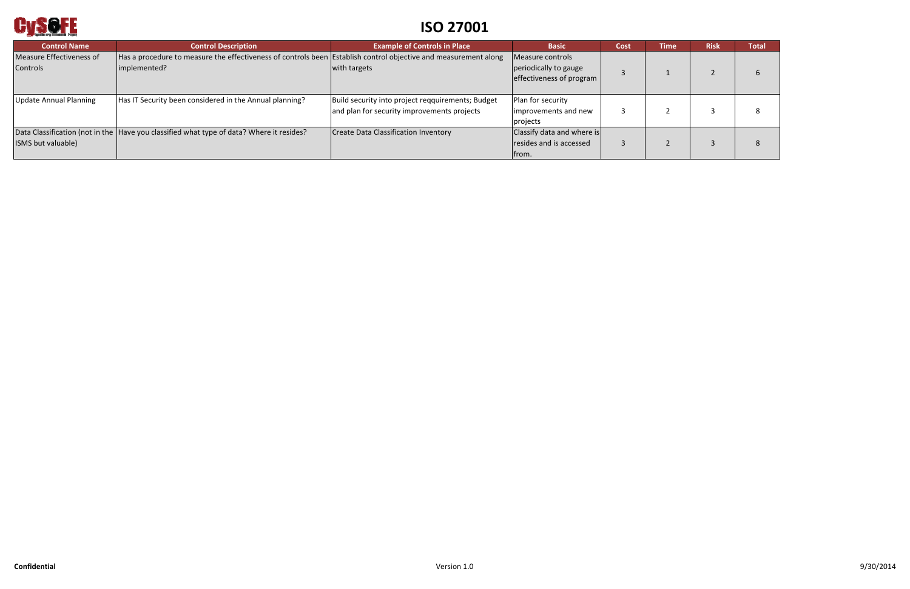

# **ISO 27001**

| <b>Control Name</b>                         | <b>Control Description</b>                                                                                                      | <b>Example of Controls in Place</b>                                                              | <b>Basic</b>                                                          | Cost | <b>Time</b> | <b>Risk</b> | <b>Total</b> |
|---------------------------------------------|---------------------------------------------------------------------------------------------------------------------------------|--------------------------------------------------------------------------------------------------|-----------------------------------------------------------------------|------|-------------|-------------|--------------|
| Measure Effectiveness of<br><b>Controls</b> | Has a procedure to measure the effectiveness of controls been Establish control objective and measurement along<br>implemented? | with targets                                                                                     | Measure controls<br>periodically to gauge<br>effectiveness of program |      |             |             |              |
| <b>Update Annual Planning</b>               | Has IT Security been considered in the Annual planning?                                                                         | Build security into project reqquirements; Budget<br>and plan for security improvements projects | Plan for security<br>improvements and new<br>projects                 |      |             |             |              |
| ISMS but valuable)                          | Data Classification (not in the  Have you classified what type of data? Where it resides?                                       | <b>Create Data Classification Inventory</b>                                                      | Classify data and where is<br>resides and is accessed<br>trom.        |      |             |             |              |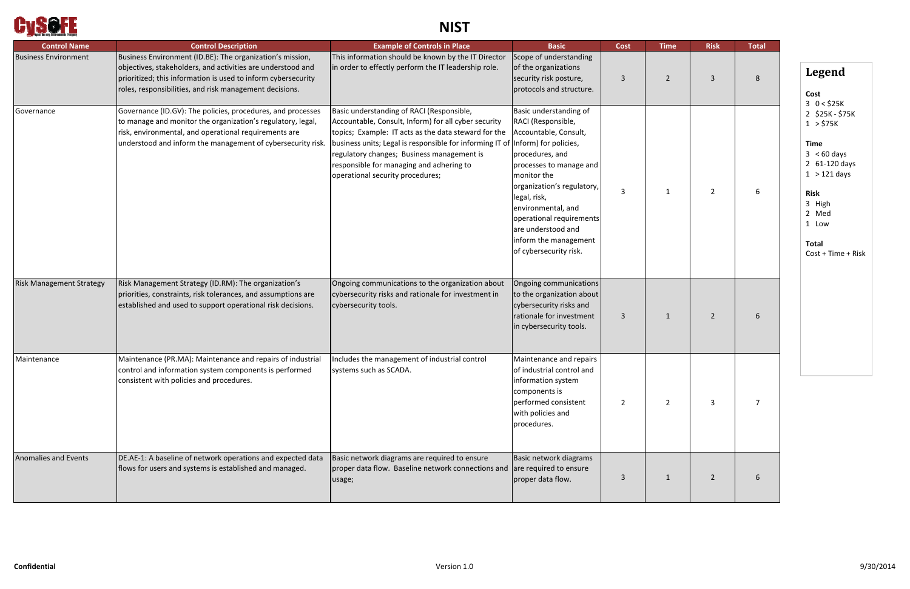

# **NIST**

| <b>Control Name</b>             | <b>Control Description</b>                                                                                                                                                                                                                           | <b>Example of Controls in Place</b>                                                                                                                                                                                                                                                                                                                                        | <b>Basic</b>                                                                                                                                                                                                                                                                                                | <b>Cost</b>    | <b>Time</b>    | <b>Risk</b>    | <b>Total</b> |
|---------------------------------|------------------------------------------------------------------------------------------------------------------------------------------------------------------------------------------------------------------------------------------------------|----------------------------------------------------------------------------------------------------------------------------------------------------------------------------------------------------------------------------------------------------------------------------------------------------------------------------------------------------------------------------|-------------------------------------------------------------------------------------------------------------------------------------------------------------------------------------------------------------------------------------------------------------------------------------------------------------|----------------|----------------|----------------|--------------|
| <b>Business Environment</b>     | Business Environment (ID.BE): The organization's mission,<br>objectives, stakeholders, and activities are understood and<br>prioritized; this information is used to inform cybersecurity<br>roles, responsibilities, and risk management decisions. | This information should be known by the IT Director<br>in order to effectly perform the IT leadership role.                                                                                                                                                                                                                                                                | Scope of understanding<br>of the organizations<br>security risk posture,<br>protocols and structure.                                                                                                                                                                                                        | 3              | $\overline{2}$ | $\overline{3}$ | 8            |
| Governance                      | Governance (ID.GV): The policies, procedures, and processes<br>to manage and monitor the organization's regulatory, legal,<br>risk, environmental, and operational requirements are<br>understood and inform the management of cybersecurity risk.   | Basic understanding of RACI (Responsible,<br>Accountable, Consult, Inform) for all cyber security<br>topics; Example: IT acts as the data steward for the<br>business units; Legal is responsible for informing IT of (Inform) for policies,<br>regulatory changes; Business management is<br>responsible for managing and adhering to<br>operational security procedures; | Basic understanding of<br>RACI (Responsible,<br>Accountable, Consult,<br>procedures, and<br>processes to manage and<br>monitor the<br>organization's regulatory,<br>legal, risk,<br>environmental, and<br>operational requirements<br>are understood and<br>inform the management<br>of cybersecurity risk. | $\overline{3}$ | 1              | $\overline{2}$ |              |
| <b>Risk Management Strategy</b> | Risk Management Strategy (ID.RM): The organization's<br>priorities, constraints, risk tolerances, and assumptions are<br>established and used to support operational risk decisions.                                                                 | Ongoing communications to the organization about<br>cybersecurity risks and rationale for investment in<br>cybersecurity tools.                                                                                                                                                                                                                                            | Ongoing communications<br>to the organization about<br>cybersecurity risks and<br>rationale for investment<br>in cybersecurity tools.                                                                                                                                                                       | 3              | $\mathbf{1}$   | $\overline{2}$ | 6            |
| Maintenance                     | Maintenance (PR.MA): Maintenance and repairs of industrial<br>control and information system components is performed<br>consistent with policies and procedures.                                                                                     | Includes the management of industrial control<br>systems such as SCADA.                                                                                                                                                                                                                                                                                                    | Maintenance and repairs<br>of industrial control and<br>information system<br>components is<br>performed consistent<br>with policies and<br>procedures.                                                                                                                                                     | $\overline{2}$ | 2              | 3              |              |
| <b>Anomalies and Events</b>     | DE.AE-1: A baseline of network operations and expected data<br>flows for users and systems is established and managed.                                                                                                                               | Basic network diagrams are required to ensure<br>proper data flow. Baseline network connections and<br>usage;                                                                                                                                                                                                                                                              | Basic network diagrams<br>are required to ensure<br>proper data flow.                                                                                                                                                                                                                                       | $\overline{3}$ | 1              | $2^{\circ}$    |              |

# **Legend**

**Cost** 3 0 <sup>&</sup>lt; \$25K 2 \$25K ‐ \$75K 1 <sup>&</sup>gt; \$75K

### **Time**

- 3 <sup>&</sup>lt; 60 days
- 2 61‐120 days
- 1 <sup>&</sup>gt; 121 days

## **Risk**

- 3 High
- 2 Med
- 1 Low

**Total** Cost + Time <sup>+</sup> Risk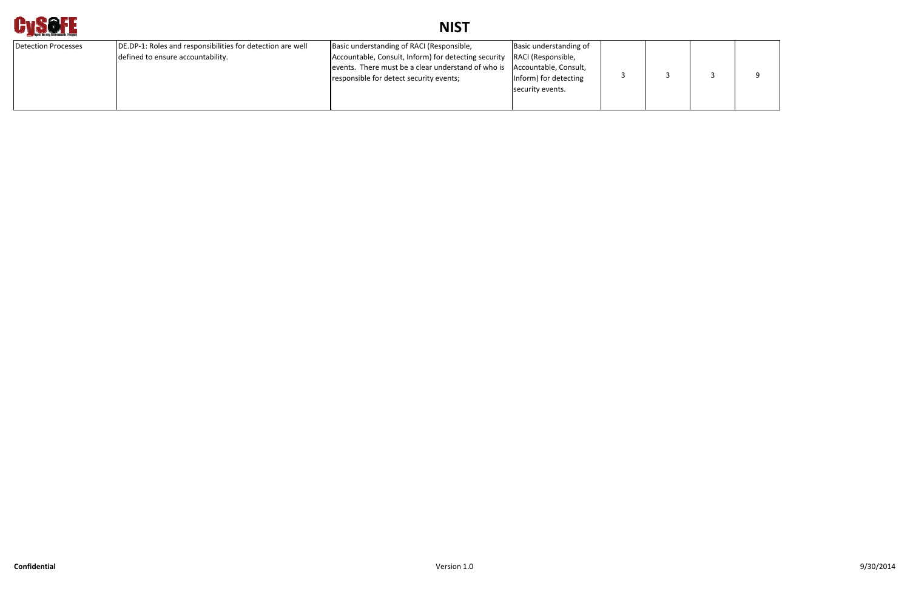

# **NIST**

| Detection Processes | DE.DP-1: Roles and responsibilities for detection are well<br>defined to ensure accountability. | Basic understanding of RACI (Responsible,<br>Accountable, Consult, Inform) for detecting security<br>events. There must be a clear understand of who is<br>responsible for detect security events; | Basic understanding of<br>RACI (Responsible,<br>Accountable, Consult,<br>Inform) for detecting<br>security events. |  |  |  |  |
|---------------------|-------------------------------------------------------------------------------------------------|----------------------------------------------------------------------------------------------------------------------------------------------------------------------------------------------------|--------------------------------------------------------------------------------------------------------------------|--|--|--|--|
|---------------------|-------------------------------------------------------------------------------------------------|----------------------------------------------------------------------------------------------------------------------------------------------------------------------------------------------------|--------------------------------------------------------------------------------------------------------------------|--|--|--|--|